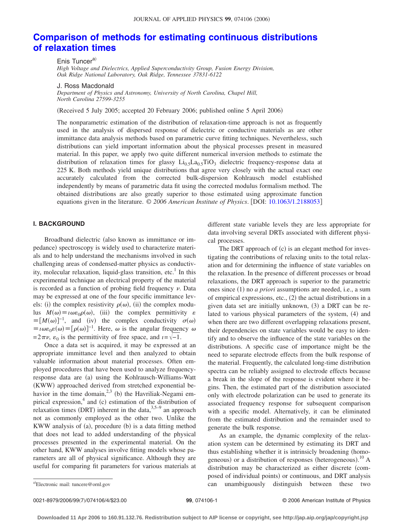# **[Comparison of methods for estimating continuous distributions](http://dx.doi.org/10.1063/1.2188053) [of relaxation times](http://dx.doi.org/10.1063/1.2188053)**

Enis Tuncer<sup>a)</sup> *High Voltage and Dielectrics, Applied Superconductivity Group, Fusion Energy Division, Oak Ridge National Laboratory, Oak Ridge, Tennessee 37831-6122*

J. Ross Macdonald

*Department of Physics and Astronomy, University of North Carolina, Chapel Hill, North Carolina 27599-3255*

(Received 5 July 2005; accepted 20 February 2006; published online 5 April 2006)

The nonparametric estimation of the distribution of relaxation-time approach is not as frequently used in the analysis of dispersed response of dielectric or conductive materials as are other immittance data analysis methods based on parametric curve fitting techniques. Nevertheless, such distributions can yield important information about the physical processes present in measured material. In this paper, we apply two quite different numerical inversion methods to estimate the distribution of relaxation times for glassy  $Li_{0.5}La_{0.5}TiO_3$  dielectric frequency-response data at 225 K. Both methods yield unique distributions that agree very closely with the actual exact one accurately calculated from the corrected bulk-dispersion Kohlrausch model established independently by means of parametric data fit using the corrected modulus formalism method. The obtained distributions are also greatly superior to those estimated using approximate function equations given in the literature. © 2006 American Institute of Physics. [DOI: [10.1063/1.2188053](http://dx.doi.org/10.1063/1.2188053)]

## **I. BACKGROUND**

Broadband dielectric (also known as immittance or impedance) spectroscopy is widely used to characterize materials and to help understand the mechanisms involved in such challenging areas of condensed-matter physics as conductivity, molecular relaxation, liquid-glass transition, etc.<sup>1</sup> In this experimental technique an electrical property of the material is recorded as a function of probing field frequency  $\nu$ . Data may be expressed at one of the four specific immittance levels: (i) the complex resistivity  $\rho(\omega)$ , (ii) the complex modulus  $M(\omega) \equiv i \omega \varepsilon_0 \rho(\omega)$ , (iii) the complex permittivity  $\varepsilon$  $\equiv [M(\omega)]^{-1}$ , and (iv) the complex conductivity  $\sigma(\omega)$  $\equiv i\omega\varepsilon_0\varepsilon(\omega)$   $\equiv [\rho(\omega)]^{-1}$ . Here,  $\omega$  is the angular frequency  $\omega$  $= 2\pi \nu$ ,  $\varepsilon_0$  is the permittivity of free space, and  $i = \sqrt{-1}$ .

Once a data set is acquired, it may be expressed at an appropriate immittance level and then analyzed to obtain valuable information about material processes. Often employed procedures that have been used to analyze frequencyresponse data are (a) using the Kohlrausch-Williams-Watt (KWW) approached derived from stretched exponential behavior in the time domain,  $2,3$  (b) the Havriliak-Negami empirical expression,<sup>4</sup> and (c) estimation of the distribution of relaxation times (DRT) inherent in the data,  $3,5-9$  an approach not as commonly employed as the other two. Unlike the KWW analysis of (a), procedure (b) is a data fitting method that does not lead to added understanding of the physical processes presented in the experimental material. On the other hand, KWW analyses involve fitting models whose parameters are all of physical significance. Although they are useful for comparing fit parameters for various materials at

different state variable levels they are less appropriate for data involving several DRTs associated with different physical processes.

The DRT approach of (c) is an elegant method for investigating the contributions of relaxing units to the total relaxation and for determining the influence of state variables on the relaxation. In the presence of different processes or broad relaxations, the DRT approach is superior to the parametric ones since (1) no *a priori* assumptions are needed, i.e., a sum of empirical expressions, etc., (2) the actual distributions in a given data set are initially unknown, (3) a DRT can be related to various physical parameters of the system, (4) and when there are two different overlapping relaxations present, their dependencies on state variables would be easy to identify and to observe the influence of the state variables on the distributions. A specific case of importance might be the need to separate electrode effects from the bulk response of the material. Frequently, the calculated long-time distribution spectra can be reliably assigned to electrode effects because a break in the slope of the response is evident where it begins. Then, the estimated part of the distribution associated only with electrode polarization can be used to generate its associated frequency response for subsequent comparison with a specific model. Alternatively, it can be eliminated from the estimated distribution and the remainder used to generate the bulk response.

As an example, the dynamic complexity of the relaxation system can be determined by estimating its DRT and thus establishing whether it is intrinsicly broadening (homogeneous) or a distribution of responses (heterogeneous).<sup>10</sup> A distribution may be characterized as either discrete (composed of individual points) or continuous, and DRT analysis can unambiguously distinguish between these two

0021-8979/2006/99(7)/074106/4/\$23.00

Electronic mail: tuncere@ornl.gov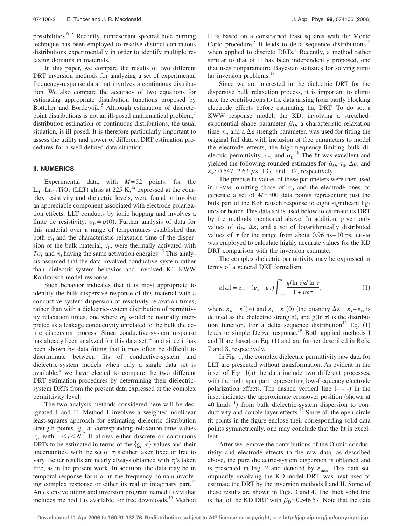possibilities. $6-8$  Recently, nonresonant spectral hole burning technique has been employed to resolve distinct continuous distributions experimentally in order to identify multiple relaxing domains in materials.<sup>11</sup>

In this paper, we compare the results of two different DRT inversion methods for analyzing a set of experimental frequency-response data that involves a continuous distribution. We also compare the accuracy of two equations for estimating appropriate distribution functions proposed by Böttcher and Bordewijk.<sup>5</sup> Although estimation of discretepoint distributions is not an ill-posed mathematical problem, distribution estimation of continuous distributions, the usual situation, is ill posed. It is therefore particularly important to assess the utility and power of different DRT estimation procedures for a well-defined data situation.

### **II. NUMERICS**

Experimental data, with  $M=52$  points, for the  $\text{Li}_{0.5}\text{La}_{0.5}\text{TiO}_3$  (LLT) glass at 225 K,<sup>12</sup> expressed at the complex resistivity and dielectric levels, were found to involve an appreciable component associated with electrode polarization effects. LLT conducts by ionic hopping and involves a finite dc resistivity,  $\sigma_0 \equiv \sigma(0)$ . Further analysis of data for this material over a range of temperatures established that both  $\sigma_0$  and the characteristic relaxation time of the dispersion of the bulk material,  $\tau_0$ , were thermally activated with  $T\sigma_0$  and  $\tau_0$  having the same activation energies.<sup>13</sup> This analysis assumed that the data involved conductive system rather than dielectric-system behavior and involved K1 KWW Kohlrausch-model response.

Such behavior indicates that it is most appropriate to identify the bulk dispersive response of this material with a conductive-system dispersion of resistivity relaxation times, rather than with a dielectric-system distribution of permittivity relaxation times, one where  $\sigma_0$  would be naturally interpreted as a leakage conductivity unrelated to the bulk dielectric dispersion process. Since conductive-system response has already been analyzed for this data set,<sup>13</sup> and since it has been shown by data fitting that it may often be difficult to discriminate between fits of conductive-system and dielectric-system models when only a single data set is available, $6$  we have elected to compare the two different DRT estimation procedures by determining their dielectricsystem DRTs from the present data expressed at the complex permittivity level.

The two analysis methods considered here will be designated I and II. Method I involves a weighted nonlinear least-squares approach for estimating dielectric distribution strength points,  $g_{i_2}$  at corresponding relaxation-time values  $\tau_i$ , with  $1 \le i \le N$ .<sup>7</sup> It allows either discrete or continuous DRTs to be estimated in terms of the  $\{g_i, \tau_i\}$  values and their uncertainties, with the set of  $\tau_i$ 's either taken fixed or free to vary. Better results are nearly always obtained with  $\tau_i$ 's taken free, as in the present work. In addition, the data may be in temporal response form or in the frequency domain involving complex response or either its real or imaginary part.<sup>14</sup> An extensive fitting and inversion program named LEVM that includes method I is available for free downloads.<sup>15</sup> Method II is based on a constrained least squares with the Monte Carlo procedure.<sup>8</sup> It leads to delta sequence distributions<sup>16</sup> when applied to discrete  $DRTs$ <sup>8</sup> Recently, a method rather similar to that of II has been independently proposed, one that uses nonparametric Bayesian statistics for solving similar inversion problems. $17$ 

Since we are interested in the dielectric DRT for the dispersive bulk relaxation process, it is important to eliminate the contributions to the data arising from partly blocking electrode effects before estimating the DRT. To do so, a KWW response model, the KD, involving a stretchedexponential shape parameter  $\beta_D$ , a characteristic relaxation time  $\tau_0$ , and a  $\Delta \epsilon$  strength parameter, was used for fitting the original full data with inclusion of free parameters to model the electrode effects, the high-frequency-limiting bulk dielectric permittivity,  $\varepsilon_{\infty}$ , and  $\sigma_0$ .<sup>18</sup> The fit was excellent and yielded the following rounded estimates for  $\beta_D$ ,  $\tau_0$ ,  $\Delta \varepsilon$ , and  $\varepsilon_{\infty}$ : 0.547, 2.63  $\mu$ s, 137, and 112, respectively.

The precise fit values of these parameters were then used in LEVM, omitting those of  $\sigma_0$  and the electrode ones, to generate a set of  $M = 300$  data points representing just the bulk part of the Kohlrausch response to eight significant figures or better. This data set is used below to estimate its DRT by the methods mentioned above. In addition, given only values of  $\beta_D$ ,  $\Delta \varepsilon$ , and a set of logarithmically distributed values of  $\tau$  for the range from about 0.96 ns–10 ps, LEVM was employed to calculate highly accurate values for the KD DRT comparison with the inversion estimate.

The complex dielectric permittivity may be expressed in terms of a general DRT formalism,

$$
\varepsilon(\omega) = \varepsilon_{\infty} + (\varepsilon_{s} - \varepsilon_{\infty}) \int_{-\infty}^{\infty} \frac{g(\ln \tau) d \ln \tau}{1 + i\omega \tau},
$$
 (1)

where  $\varepsilon_{\infty} \equiv \varepsilon'(\infty)$  and  $\varepsilon_s \equiv \varepsilon'(0)$  (the quantity  $\Delta \varepsilon \equiv \varepsilon_s - \varepsilon_{\infty}$  is defined as the dielectric strength), and  $g(\ln \tau)$  is the distribution function. For a delta sequence distribution<sup>16</sup> Eq.  $(1)$ leads to simple Debye response.<sup>19</sup> Both applied methods I and II are based on Eq.  $(1)$  and are further described in Refs. 7 and 8, respectively.

In Fig. 1, the complex dielectric permittivity raw data for LLT are presented without transformation. As evident in the inset of Fig. 1(a) the data include two different processes, with the right spur part representing low-frequency electrode polarization effects. The dashed vertical line  $(- - -)$  in the inset indicates the approximate crossover position (shown at 40 krads<sup>-1</sup>) from bulk dielectric-system dispersion to conductivity and double-layer effects.<sup>18</sup> Since all the open-circle fit points in the figure enclose their corresponding solid data points symmetrically, one may conclude that the fit is excellent.

After we remove the contributions of the Ohmic conductivity and electrode effects to the raw data, as described above, the pure dielectric-system dispersion is obtained and is presented in Fig. 2 and denoted by  $\varepsilon_{\text{mce}}$ . This data set, implicitly involving the KD-model DRT, was next used to estimate the DRT by the inversion methods I and II. Some of these results are shown in Figs. 3 and 4. The thick solid line is that of the KD DRT with  $\beta_D = 0.54657$ . Note that the data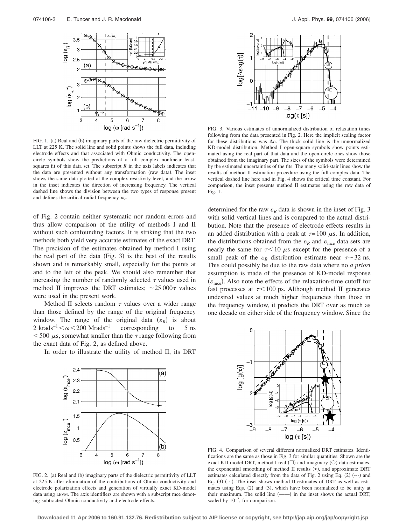

FIG. 1. (a) Real and (b) imaginary parts of the raw dielectric permittivity of LLT at 225 K. The solid line and solid points shows the full data, including electrode effects and that associated with Ohmic conductivity. The opencircle symbols show the predictions of a full complex nonlinear leastsquares fit of this data set. The subscript  $R$  in the axis labels indicates that the data are presented without any transformation (raw data). The inset shows the same data plotted at the complex resistivity level, and the arrow in the inset indicates the direction of increasing frequency. The vertical dashed line shows the division between the two types of response present and defines the critical radial frequency  $\omega_c$ .

of Fig. 2 contain neither systematic nor random errors and thus allow comparison of the utility of methods I and II without such confounding factors. It is striking that the two methods both yield very accurate estimates of the exact DRT. The precision of the estimates obtained by method I using the real part of the data (Fig. 3) is the best of the results shown and is remarkably small, especially for the points at and to the left of the peak. We should also remember that increasing the number of randomly selected  $\tau$  values used in method II improves the DRT estimates;  $\sim$  25 000 $\tau$  values were used in the present work.

Method II selects random  $\tau$  values over a wider range than those defined by the range of the original frequency window. The range of the original data  $(\varepsilon_R)$  is about 2 krads<sup>-1</sup> $\lt \omega \lt 200$  Mrads<sup>-1</sup> corresponding to 5 ns  $<$  500  $\mu$ s, somewhat smaller than the  $\tau$  range following from the exact data of Fig. 2, as defined above.

In order to illustrate the utility of method II, its DRT



FIG. 2. (a) Real and (b) imaginary parts of the dielectric permittivity of LLT at 225 K after elimination of the contributions of Ohmic conductivity and electrode polarization effects and generation of virtually exact KD-model data using LEVM. The axis identifiers are shown with a subscript mce denoting subtracted Ohmic conductivity and electrode effects.



FIG. 3. Various estimates of unnormalized distribution of relaxation times following from the data presented in Fig. 2. Here the implicit scaling factor for these distributions was  $\Delta \varepsilon$ . The thick solid line is the unnormalized KD-model distribution. Method I open-square symbols show points estimated using the real part of that data and the open-circle ones show those obtained from the imaginary part. The sizes of the symbols were determined by the estimated uncertainties of the fits. The many solid-stair lines show the results of method II estimation procedure using the full complex data. The vertical dashed line here and in Fig. 4 shows the critical time constant. For comparison, the inset presents method II estimates using the raw data of Fig. 1.

determined for the raw  $\varepsilon_R$  data is shown in the inset of Fig. 3 with solid vertical lines and is compared to the actual distribution. Note that the presence of electrode effects results in an added distribution with a peak at  $\tau = 100 \mu$ s. In addition, the distributions obtained from the  $\varepsilon_R$  and  $\varepsilon_{\text{mce}}$  data sets are nearly the same for  $\tau$ <10  $\mu$ s except for the presence of a small peak of the  $\varepsilon_R$  distribution estimate near  $\tau \sim 32$  ns. This could possibly be due to the raw data where no *a priori* assumption is made of the presence of KD-model response  $(\varepsilon_{\text{mce}})$ . Also note the effects of the relaxation-time cutoff for fast processes at  $\tau$ <100 ps. Although method II generates undesired values at much higher frequencies than those in the frequency window, it predicts the DRT over as much as one decade on either side of the frequency window. Since the



FIG. 4. Comparison of several different normalized DRT estimates. Identifications are the same as those in Fig. 3 for similar quantities. Shown are the exact KD-model DRT, method I real  $(\square)$  and imaginary  $(\bigcirc)$  data estimates, the exponential smoothing of method II results  $(\star)$ , and approximate DRT estimates calculated directly from the data of Fig. 2 using Eq. (2) (---) and Eq.  $(3)$   $(-)$ . The inset shows method II estimates of DRT as well as estimates using Eqs. (2) and (3), which have been normalized to be unity at their maximum. The solid line  $($ — $)$  in the inset shows the actual DRT, scaled by  $10<sup>−2</sup>$ , for comparison.

**Downloaded 11 Apr 2006 to 160.91.132.76. Redistribution subject to AIP license or copyright, see http://jap.aip.org/jap/copyright.jsp**